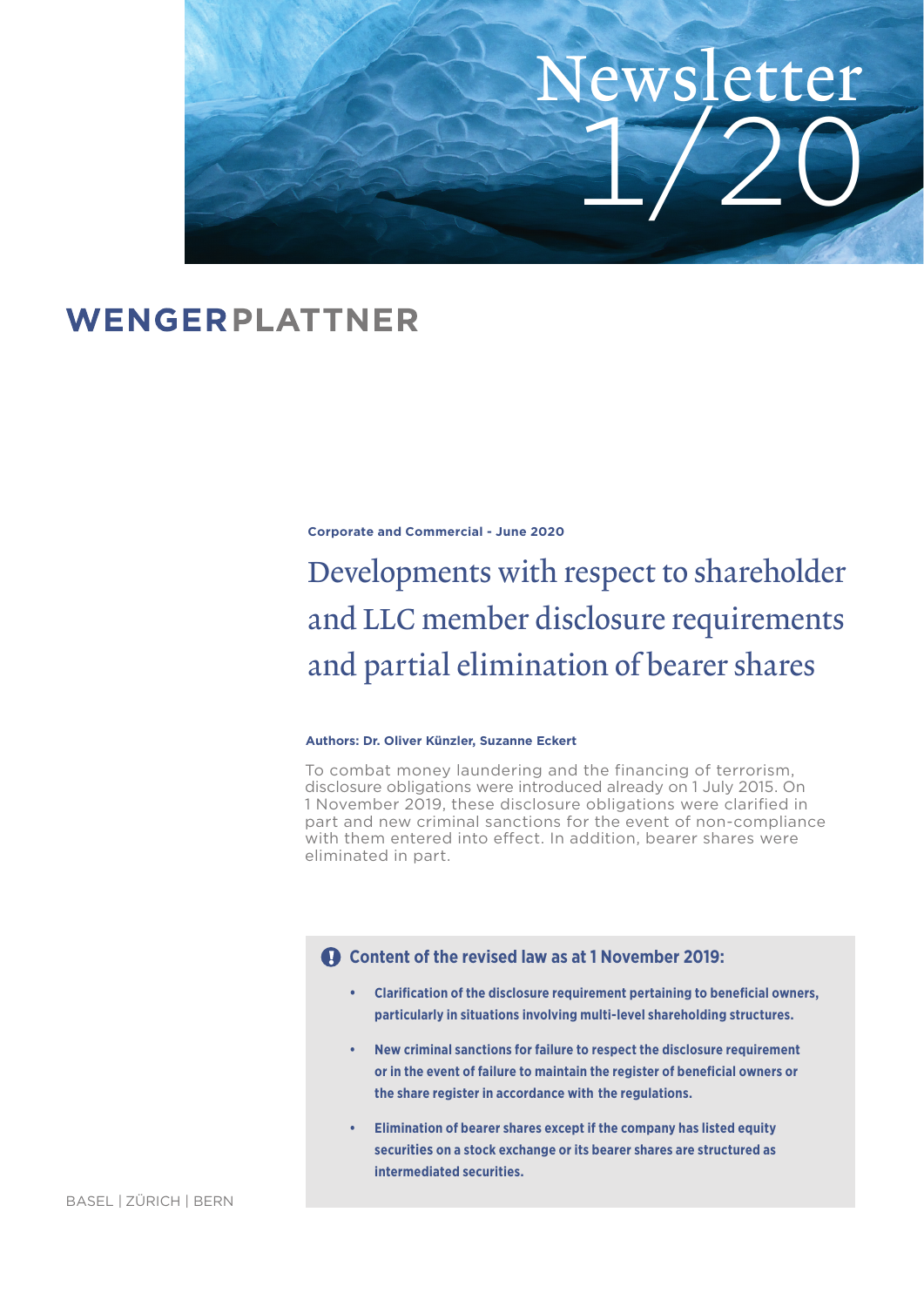

# WENGERPLATTNER

**Corporate and Commercial - June 2020**

Developments with respect to shareholder and LLC member disclosure requirements and partial elimination of bearer shares

#### **Authors: Dr. Oliver Künzler, Suzanne Eckert**

To combat money laundering and the financing of terrorism, disclosure obligations were introduced already on 1 July 2015. On 1 November 2019, these disclosure obligations were clarified in part and new criminal sanctions for the event of non-compliance with them entered into effect. In addition, bearer shares were eliminated in part.

# **Content of the revised law as at 1 November 2019:**

- **Clarification of the disclosure requirement pertaining to beneficial owners, particularly in situations involving multi-level shareholding structures.**
- **New criminal sanctions for failure to respect the disclosure requirement**  or in the event of failure to maintain the register of beneficial owners or  **the share register in accordance with the regulations.**
- **Elimination of bearer shares except if the company has listed equity securities on a stock exchange or its bearer shares are structured as intermediated securities.**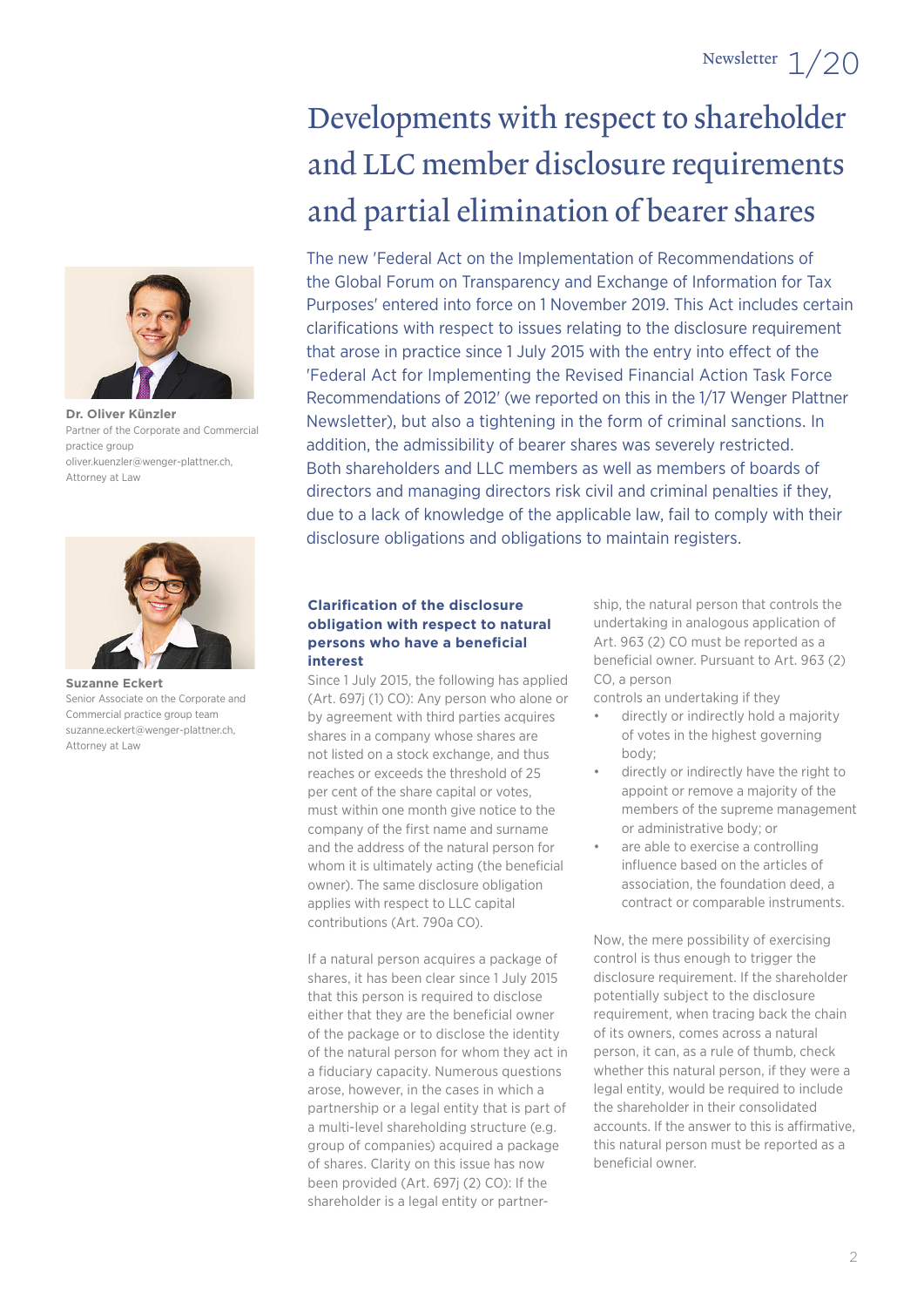

**Dr. Oliver Künzler** Partner of the Corporate and Commercial practice group oliver.kuenzler@wenger-plattner.ch, Attorney at Law



**Suzanne Eckert** Senior Associate on the Corporate and Commercial practice group team suzanne.eckert@wenger-plattner.ch, Attorney at Law

# Developments with respect to shareholder and LLC member disclosure requirements and partial elimination of bearer shares

The new 'Federal Act on the Implementation of Recommendations of the Global Forum on Transparency and Exchange of Information for Tax Purposes' entered into force on 1 November 2019. This Act includes certain clarifications with respect to issues relating to the disclosure requirement that arose in practice since 1 July 2015 with the entry into effect of the 'Federal Act for Implementing the Revised Financial Action Task Force Recommendations of 2012' (we reported on this in the 1/17 Wenger Plattner Newsletter), but also a tightening in the form of criminal sanctions. In addition, the admissibility of bearer shares was severely restricted. Both shareholders and LLC members as well as members of boards of directors and managing directors risk civil and criminal penalties if they, due to a lack of knowledge of the applicable law, fail to comply with their disclosure obligations and obligations to maintain registers.

#### **Clarifi cation of the disclosure obligation with respect to natural persons who have a beneficial interest**

Since 1 July 2015, the following has applied (Art. 697j (1) CO): Any person who alone or by agreement with third parties acquires shares in a company whose shares are not listed on a stock exchange, and thus reaches or exceeds the threshold of 25 per cent of the share capital or votes, must within one month give notice to the company of the first name and surname and the address of the natural person for whom it is ultimately acting (the beneficial owner). The same disclosure obligation applies with respect to LLC capital contributions (Art. 790a CO).

If a natural person acquires a package of shares, it has been clear since 1 July 2015 that this person is required to disclose either that they are the beneficial owner of the package or to disclose the identity of the natural person for whom they act in a fiduciary capacity. Numerous questions arose, however, in the cases in which a partnership or a legal entity that is part of a multi-level shareholding structure (e.g. group of companies) acquired a package of shares. Clarity on this issue has now been provided (Art. 697j (2) CO): If the shareholder is a legal entity or partnership, the natural person that controls the undertaking in analogous application of Art. 963 (2) CO must be reported as a beneficial owner. Pursuant to Art. 963 (2) CO, a person

controls an undertaking if they

- directly or indirectly hold a majority of votes in the highest governing body;
- directly or indirectly have the right to appoint or remove a majority of the members of the supreme management or administrative body; or
- are able to exercise a controlling influence based on the articles of association, the foundation deed, a contract or comparable instruments.

Now, the mere possibility of exercising control is thus enough to trigger the disclosure requirement. If the shareholder potentially subject to the disclosure requirement, when tracing back the chain of its owners, comes across a natural person, it can, as a rule of thumb, check whether this natural person, if they were a legal entity, would be required to include the shareholder in their consolidated accounts. If the answer to this is affirmative, this natural person must be reported as a beneficial owner.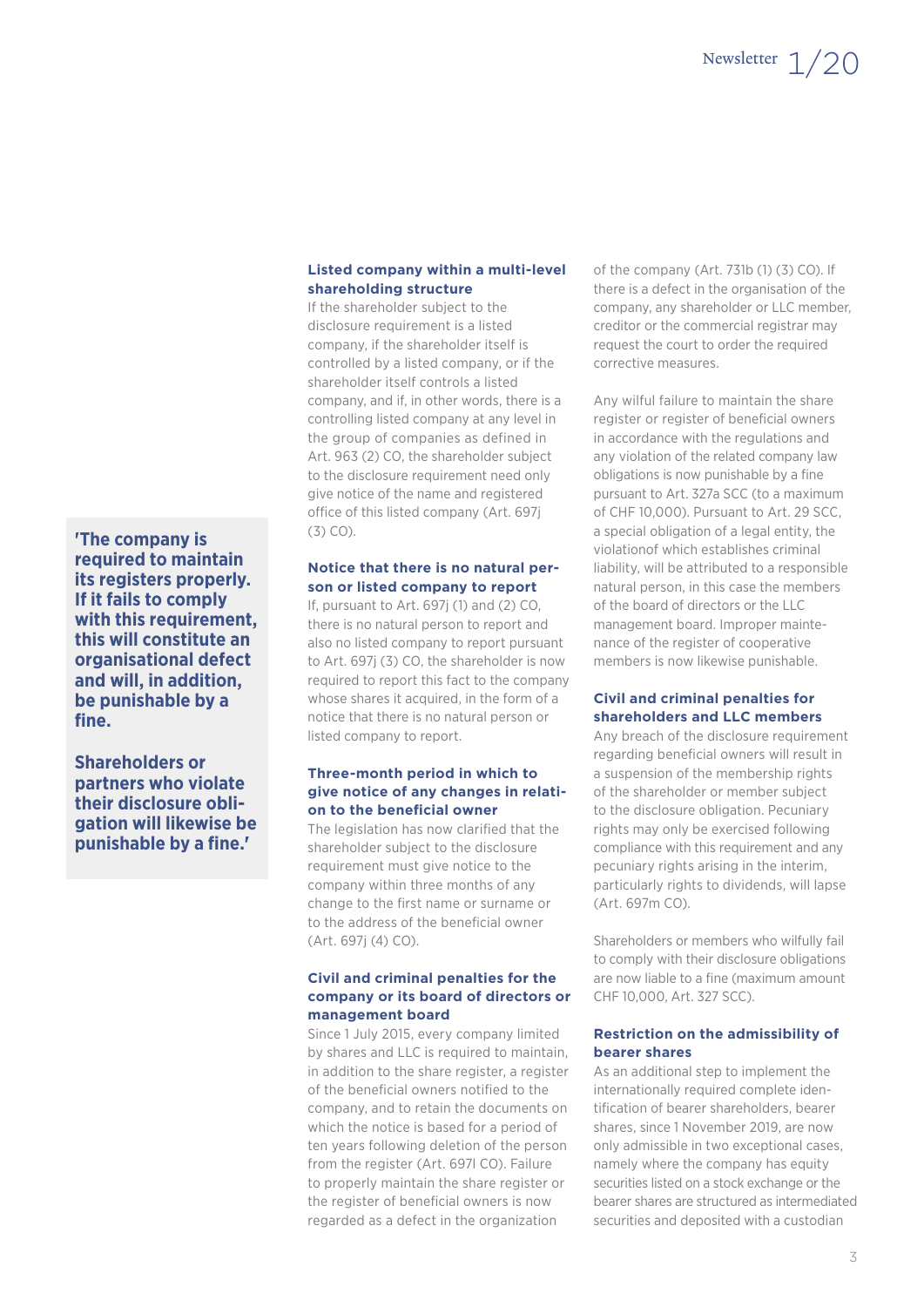#### **Listed company within a multi-level shareholding structure**

If the shareholder subject to the disclosure requirement is a listed company, if the shareholder itself is controlled by a listed company, or if the shareholder itself controls a listed company, and if, in other words, there is a controlling listed company at any level in the group of companies as defined in Art. 963 (2) CO, the shareholder subject to the disclosure requirement need only give notice of the name and registered office of this listed company (Art. 697j (3) CO).

#### **Notice that there is no natural person or listed company to report**

If, pursuant to Art. 697i (1) and (2) CO. there is no natural person to report and also no listed company to report pursuant to Art. 697j (3) CO, the shareholder is now required to report this fact to the company whose shares it acquired, in the form of a notice that there is no natural person or listed company to report.

#### **Three-month period in which to give notice of any changes in relation to the beneficial owner**

The legislation has now clarified that the shareholder subject to the disclosure requirement must give notice to the company within three months of any change to the first name or surname or to the address of the beneficial owner (Art. 697j (4) CO).

### **Civil and criminal penalties for the company or its board of directors or management board**

Since 1 July 2015, every company limited by shares and LLC is required to maintain, in addition to the share register, a register of the beneficial owners notified to the company, and to retain the documents on which the notice is based for a period of ten years following deletion of the person from the register (Art. 697l CO). Failure to properly maintain the share register or the register of beneficial owners is now regarded as a defect in the organization

of the company (Art. 731b (1) (3) CO). If there is a defect in the organisation of the company, any shareholder or LLC member, creditor or the commercial registrar may request the court to order the required corrective measures.

Any wilful failure to maintain the share register or register of beneficial owners in accordance with the regulations and any violation of the related company law obligations is now punishable by a fine pursuant to Art. 327a SCC (to a maximum of CHF 10,000). Pursuant to Art. 29 SCC, a special obligation of a legal entity, the violationof which establishes criminal liability, will be attributed to a responsible natural person, in this case the members of the board of directors or the LLC management board. Improper maintenance of the register of cooperative members is now likewise punishable.

#### **Civil and criminal penalties for shareholders and LLC members**

Any breach of the disclosure requirement regarding beneficial owners will result in a suspension of the membership rights of the shareholder or member subject to the disclosure obligation. Pecuniary rights may only be exercised following compliance with this requirement and any pecuniary rights arising in the interim, particularly rights to dividends, will lapse (Art. 697m CO).

Shareholders or members who wilfully fail to comply with their disclosure obligations are now liable to a fine (maximum amount CHF 10,000, Art. 327 SCC).

#### **Restriction on the admissibility of bearer shares**

As an additional step to implement the internationally required complete identification of bearer shareholders, bearer shares, since 1 November 2019, are now only admissible in two exceptional cases, namely where the company has equity securities listed on a stock exchange or the bearer shares are structured as intermediated securities and deposited with a custodian

**'The company is required to maintain its registers properly. If it fails to comply with this requirement, this will constitute an organisational defect and will, in addition, be punishable by a**  fine.

**Shareholders or partners who violate their disclosure obligation will likewise be punishable by a fine.'**